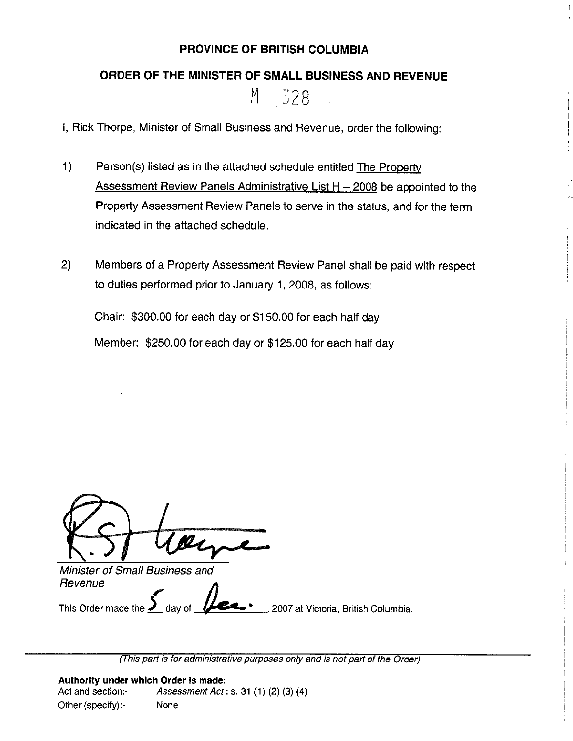## **PROVINCE OF BRITISH COLUMBIA**

## **ORDER OF THE MINISTER OF SMALL BUSINESS AND REVENUE**

M 328

I, Rick Thorpe, Minister of Small Business and Revenue, order the following:

- 1) Person(s) listed as in the attached schedule entitled The Property Assessment Review Panels Administrative List  $H - 2008$  be appointed to the Property Assessment Review Panels to serve in the status, and for the term indicated in the attached schedule.
- 2) Members of a Property Assessment Review Panel shall be paid with respect to duties performed prior to January 1, 2008, as follows:

Chair: \$300.00 for each day or \$150.00 for each half day Member: \$250.00 for each day or \$125.00 for each half day

Minister of Small Business and Minister of Small Business and<br>Revenue<br>**Carry Communisty Communisty Communisty** 

This Order made the *J* day of **different contains the Victoria**, British Columbia.

(This part is for administrative purposes only and is not part of the Order)

**Authority under which Order is made:**  Act and section:- Assessment Act: s. 31 (1) (2) (3) (4) Other (specify):- None